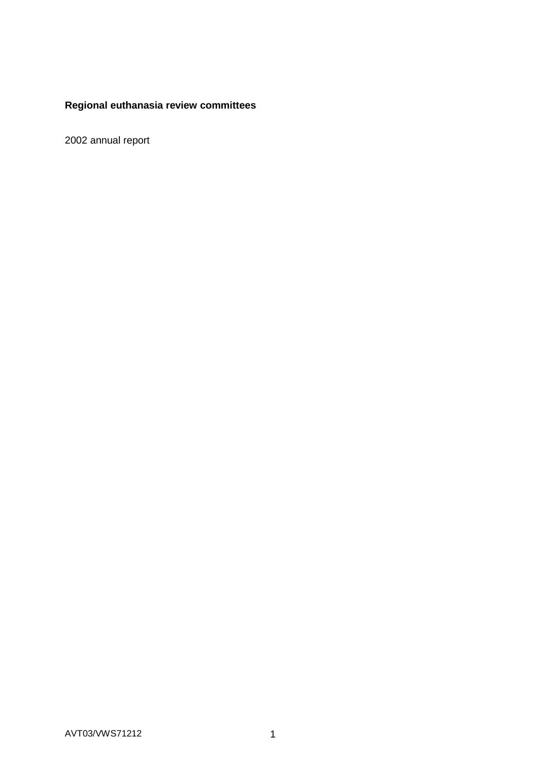# **Regional euthanasia review committees**

2002 annual report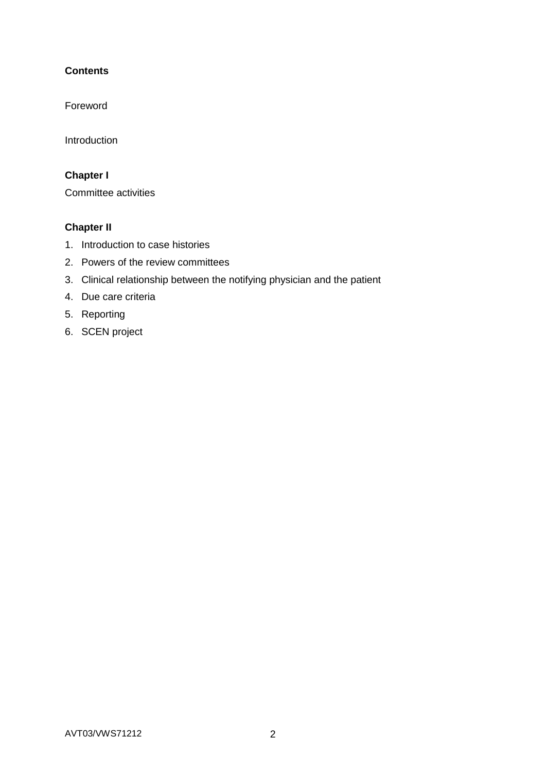# **Contents**

Foreword

Introduction

# **Chapter I**

Committee activities

# **Chapter II**

- 1. Introduction to case histories
- 2. Powers of the review committees
- 3. Clinical relationship between the notifying physician and the patient
- 4. Due care criteria
- 5. Reporting
- 6. SCEN project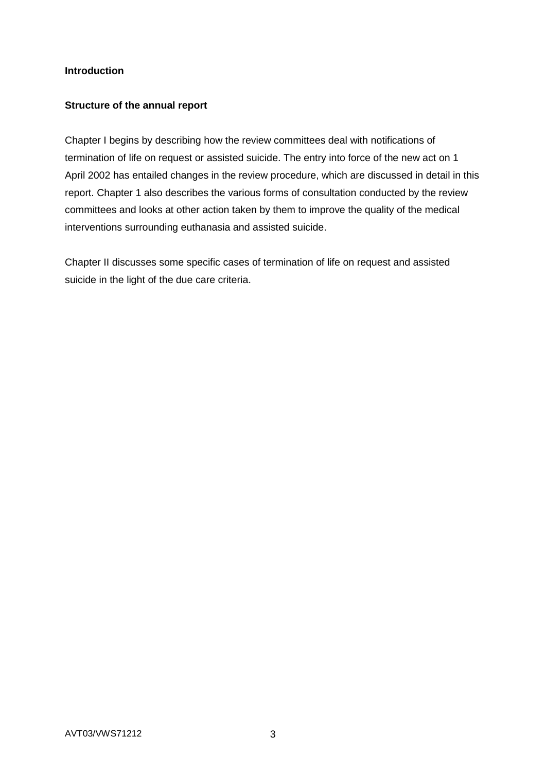### **Introduction**

### **Structure of the annual report**

Chapter I begins by describing how the review committees deal with notifications of termination of life on request or assisted suicide. The entry into force of the new act on 1 April 2002 has entailed changes in the review procedure, which are discussed in detail in this report. Chapter 1 also describes the various forms of consultation conducted by the review committees and looks at other action taken by them to improve the quality of the medical interventions surrounding euthanasia and assisted suicide.

Chapter II discusses some specific cases of termination of life on request and assisted suicide in the light of the due care criteria.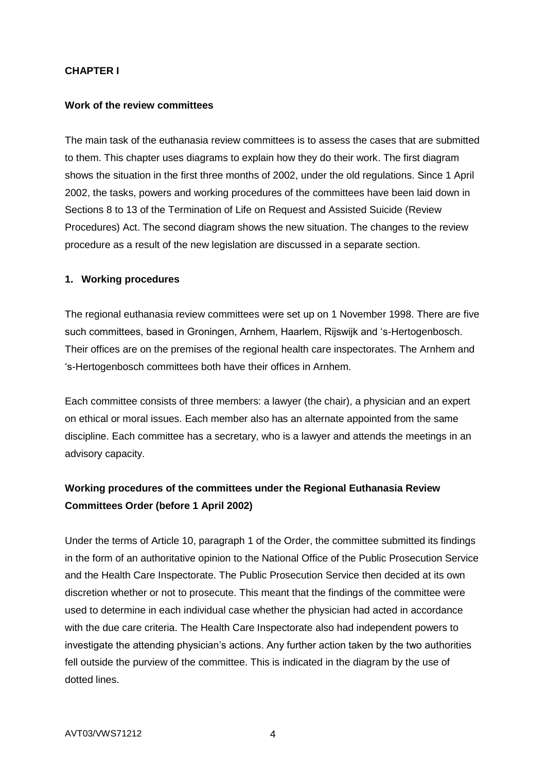### **CHAPTER I**

#### **Work of the review committees**

The main task of the euthanasia review committees is to assess the cases that are submitted to them. This chapter uses diagrams to explain how they do their work. The first diagram shows the situation in the first three months of 2002, under the old regulations. Since 1 April 2002, the tasks, powers and working procedures of the committees have been laid down in Sections 8 to 13 of the Termination of Life on Request and Assisted Suicide (Review Procedures) Act. The second diagram shows the new situation. The changes to the review procedure as a result of the new legislation are discussed in a separate section.

#### **1. Working procedures**

The regional euthanasia review committees were set up on 1 November 1998. There are five such committees, based in Groningen, Arnhem, Haarlem, Rijswijk and 's-Hertogenbosch. Their offices are on the premises of the regional health care inspectorates. The Arnhem and 's-Hertogenbosch committees both have their offices in Arnhem.

Each committee consists of three members: a lawyer (the chair), a physician and an expert on ethical or moral issues. Each member also has an alternate appointed from the same discipline. Each committee has a secretary, who is a lawyer and attends the meetings in an advisory capacity.

# **Working procedures of the committees under the Regional Euthanasia Review Committees Order (before 1 April 2002)**

Under the terms of Article 10, paragraph 1 of the Order, the committee submitted its findings in the form of an authoritative opinion to the National Office of the Public Prosecution Service and the Health Care Inspectorate. The Public Prosecution Service then decided at its own discretion whether or not to prosecute. This meant that the findings of the committee were used to determine in each individual case whether the physician had acted in accordance with the due care criteria. The Health Care Inspectorate also had independent powers to investigate the attending physician's actions. Any further action taken by the two authorities fell outside the purview of the committee. This is indicated in the diagram by the use of dotted lines.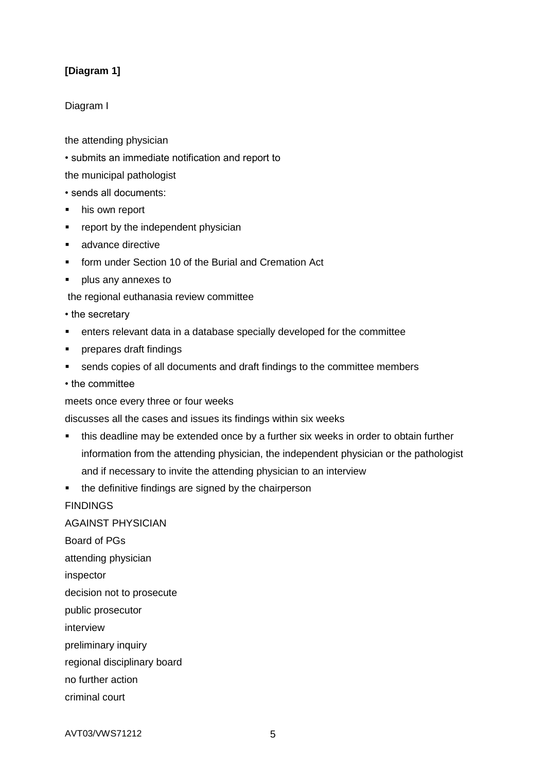## **[Diagram 1]**

### Diagram I

the attending physician

• submits an immediate notification and report to

the municipal pathologist

• sends all documents:

- his own report
- **•** report by the independent physician
- advance directive
- **F** form under Section 10 of the Burial and Cremation Act
- **plus any annexes to**

the regional euthanasia review committee

- the secretary
- enters relevant data in a database specially developed for the committee
- **•** prepares draft findings
- sends copies of all documents and draft findings to the committee members
- the committee

meets once every three or four weeks

discusses all the cases and issues its findings within six weeks

- this deadline may be extended once by a further six weeks in order to obtain further information from the attending physician, the independent physician or the pathologist and if necessary to invite the attending physician to an interview
- the definitive findings are signed by the chairperson

FINDINGS

AGAINST PHYSICIAN Board of PGs attending physician inspector decision not to prosecute

public prosecutor

interview

preliminary inquiry

regional disciplinary board

no further action

criminal court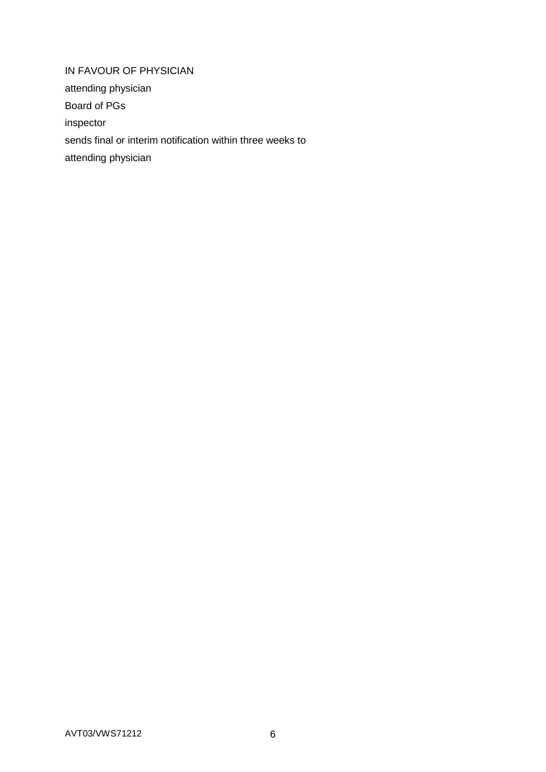IN FAVOUR OF PHYSICIAN attending physician Board of PGs inspector sends final or interim notification within three weeks to attending physician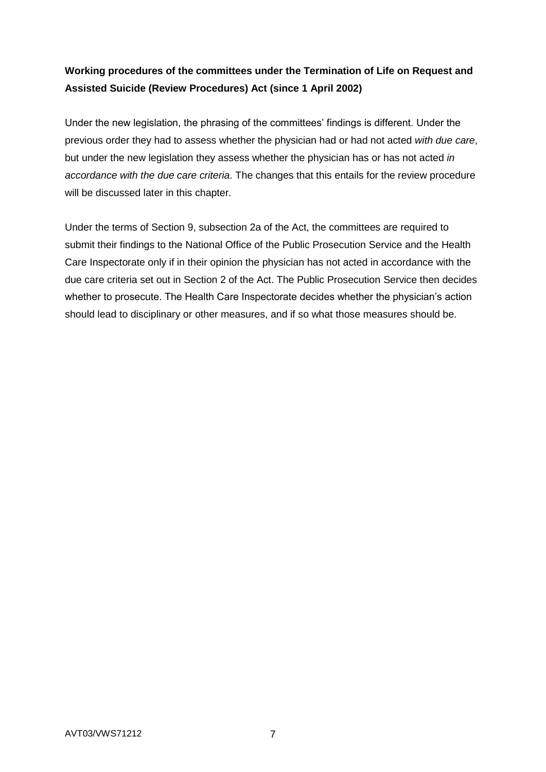# **Working procedures of the committees under the Termination of Life on Request and Assisted Suicide (Review Procedures) Act (since 1 April 2002)**

Under the new legislation, the phrasing of the committees' findings is different. Under the previous order they had to assess whether the physician had or had not acted *with due care*, but under the new legislation they assess whether the physician has or has not acted *in accordance with the due care criteria*. The changes that this entails for the review procedure will be discussed later in this chapter.

Under the terms of Section 9, subsection 2a of the Act, the committees are required to submit their findings to the National Office of the Public Prosecution Service and the Health Care Inspectorate only if in their opinion the physician has not acted in accordance with the due care criteria set out in Section 2 of the Act. The Public Prosecution Service then decides whether to prosecute. The Health Care Inspectorate decides whether the physician's action should lead to disciplinary or other measures, and if so what those measures should be.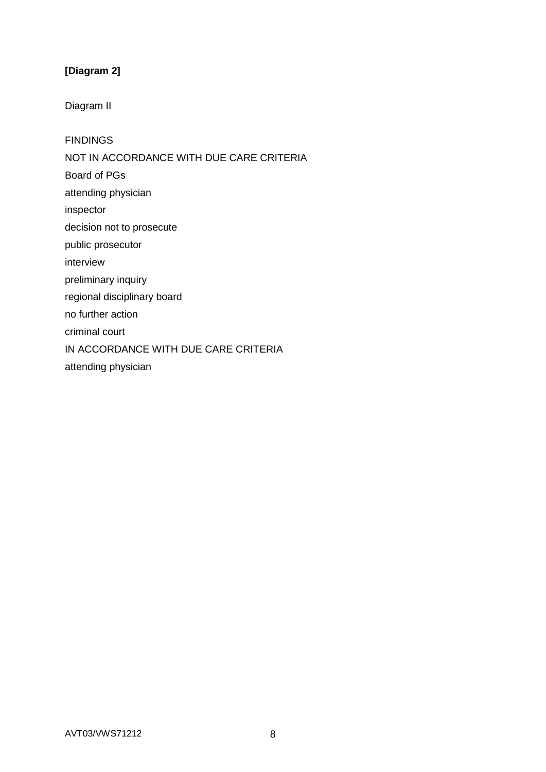# **[Diagram 2]**

Diagram II

**FINDINGS** 

NOT IN ACCORDANCE WITH DUE CARE CRITERIA

Board of PGs

attending physician

inspector

decision not to prosecute

public prosecutor

interview

preliminary inquiry

regional disciplinary board

no further action

criminal court

IN ACCORDANCE WITH DUE CARE CRITERIA

attending physician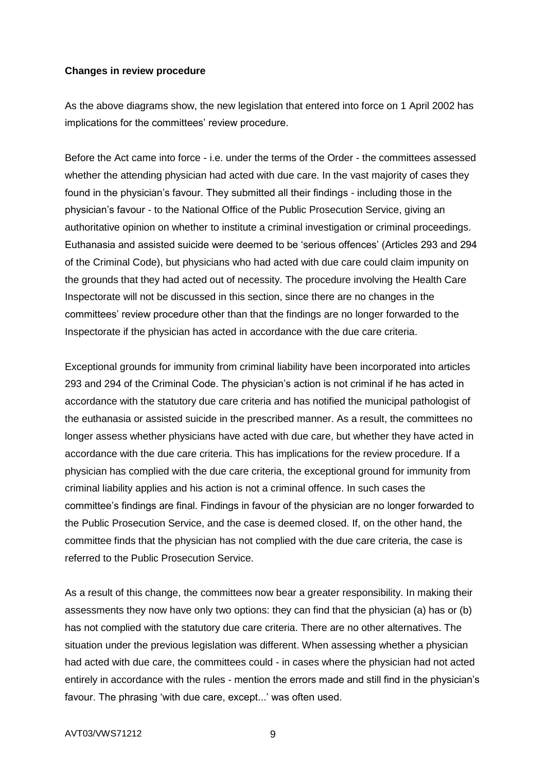#### **Changes in review procedure**

As the above diagrams show, the new legislation that entered into force on 1 April 2002 has implications for the committees' review procedure.

Before the Act came into force - i.e. under the terms of the Order - the committees assessed whether the attending physician had acted with due care. In the vast majority of cases they found in the physician's favour. They submitted all their findings - including those in the physician's favour - to the National Office of the Public Prosecution Service, giving an authoritative opinion on whether to institute a criminal investigation or criminal proceedings. Euthanasia and assisted suicide were deemed to be 'serious offences' (Articles 293 and 294 of the Criminal Code), but physicians who had acted with due care could claim impunity on the grounds that they had acted out of necessity. The procedure involving the Health Care Inspectorate will not be discussed in this section, since there are no changes in the committees' review procedure other than that the findings are no longer forwarded to the Inspectorate if the physician has acted in accordance with the due care criteria.

Exceptional grounds for immunity from criminal liability have been incorporated into articles 293 and 294 of the Criminal Code. The physician's action is not criminal if he has acted in accordance with the statutory due care criteria and has notified the municipal pathologist of the euthanasia or assisted suicide in the prescribed manner. As a result, the committees no longer assess whether physicians have acted with due care, but whether they have acted in accordance with the due care criteria. This has implications for the review procedure. If a physician has complied with the due care criteria, the exceptional ground for immunity from criminal liability applies and his action is not a criminal offence. In such cases the committee's findings are final. Findings in favour of the physician are no longer forwarded to the Public Prosecution Service, and the case is deemed closed. If, on the other hand, the committee finds that the physician has not complied with the due care criteria, the case is referred to the Public Prosecution Service.

As a result of this change, the committees now bear a greater responsibility. In making their assessments they now have only two options: they can find that the physician (a) has or (b) has not complied with the statutory due care criteria. There are no other alternatives. The situation under the previous legislation was different. When assessing whether a physician had acted with due care, the committees could - in cases where the physician had not acted entirely in accordance with the rules - mention the errors made and still find in the physician's favour. The phrasing 'with due care, except...' was often used.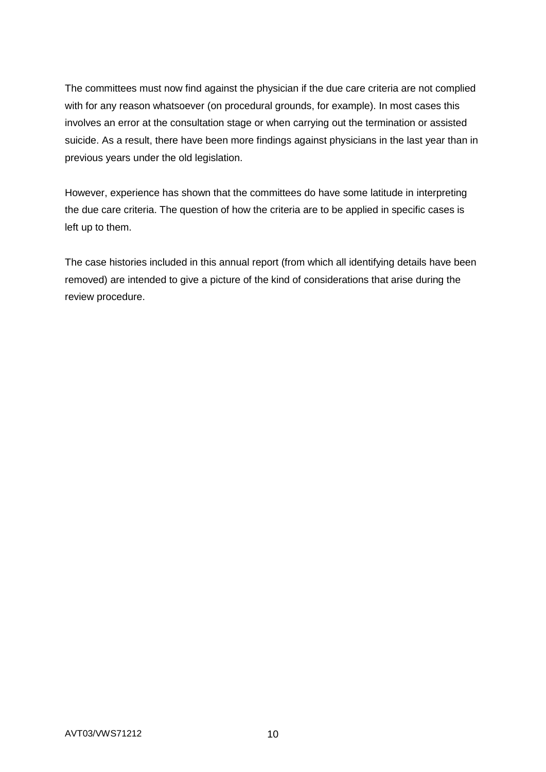The committees must now find against the physician if the due care criteria are not complied with for any reason whatsoever (on procedural grounds, for example). In most cases this involves an error at the consultation stage or when carrying out the termination or assisted suicide. As a result, there have been more findings against physicians in the last year than in previous years under the old legislation.

However, experience has shown that the committees do have some latitude in interpreting the due care criteria. The question of how the criteria are to be applied in specific cases is left up to them.

The case histories included in this annual report (from which all identifying details have been removed) are intended to give a picture of the kind of considerations that arise during the review procedure.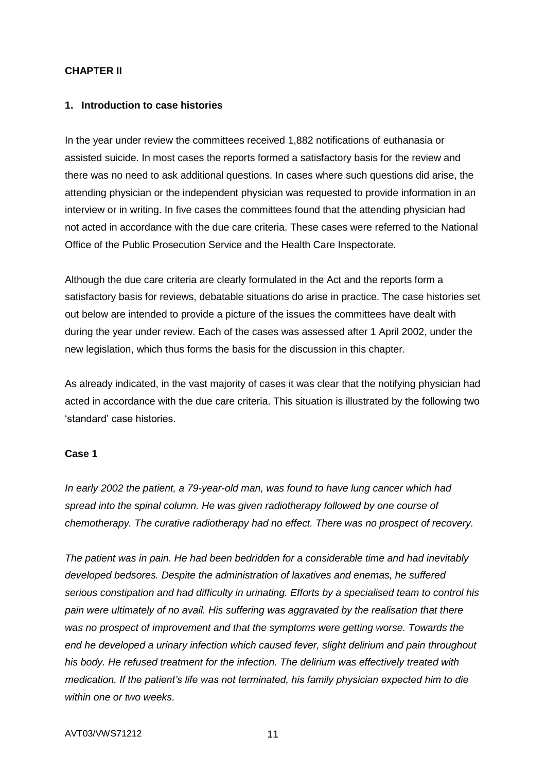### **CHAPTER II**

#### **1. Introduction to case histories**

In the year under review the committees received 1,882 notifications of euthanasia or assisted suicide. In most cases the reports formed a satisfactory basis for the review and there was no need to ask additional questions. In cases where such questions did arise, the attending physician or the independent physician was requested to provide information in an interview or in writing. In five cases the committees found that the attending physician had not acted in accordance with the due care criteria. These cases were referred to the National Office of the Public Prosecution Service and the Health Care Inspectorate.

Although the due care criteria are clearly formulated in the Act and the reports form a satisfactory basis for reviews, debatable situations do arise in practice. The case histories set out below are intended to provide a picture of the issues the committees have dealt with during the year under review. Each of the cases was assessed after 1 April 2002, under the new legislation, which thus forms the basis for the discussion in this chapter.

As already indicated, in the vast majority of cases it was clear that the notifying physician had acted in accordance with the due care criteria. This situation is illustrated by the following two 'standard' case histories.

#### **Case 1**

*In early 2002 the patient, a 79-year-old man, was found to have lung cancer which had spread into the spinal column. He was given radiotherapy followed by one course of chemotherapy. The curative radiotherapy had no effect. There was no prospect of recovery.*

*The patient was in pain. He had been bedridden for a considerable time and had inevitably developed bedsores. Despite the administration of laxatives and enemas, he suffered serious constipation and had difficulty in urinating. Efforts by a specialised team to control his pain were ultimately of no avail. His suffering was aggravated by the realisation that there was no prospect of improvement and that the symptoms were getting worse. Towards the end he developed a urinary infection which caused fever, slight delirium and pain throughout his body. He refused treatment for the infection. The delirium was effectively treated with medication. If the patient's life was not terminated, his family physician expected him to die within one or two weeks.*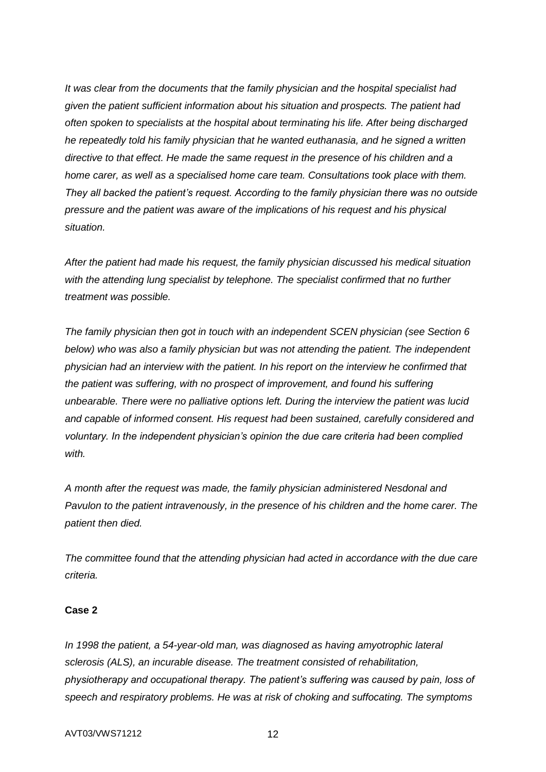*It was clear from the documents that the family physician and the hospital specialist had given the patient sufficient information about his situation and prospects. The patient had often spoken to specialists at the hospital about terminating his life. After being discharged he repeatedly told his family physician that he wanted euthanasia, and he signed a written directive to that effect. He made the same request in the presence of his children and a home carer, as well as a specialised home care team. Consultations took place with them. They all backed the patient's request. According to the family physician there was no outside pressure and the patient was aware of the implications of his request and his physical situation.*

*After the patient had made his request, the family physician discussed his medical situation with the attending lung specialist by telephone. The specialist confirmed that no further treatment was possible.*

*The family physician then got in touch with an independent SCEN physician (see Section 6 below) who was also a family physician but was not attending the patient. The independent physician had an interview with the patient. In his report on the interview he confirmed that the patient was suffering, with no prospect of improvement, and found his suffering unbearable. There were no palliative options left. During the interview the patient was lucid and capable of informed consent. His request had been sustained, carefully considered and voluntary. In the independent physician's opinion the due care criteria had been complied with.*

*A month after the request was made, the family physician administered Nesdonal and Pavulon to the patient intravenously, in the presence of his children and the home carer. The patient then died.*

*The committee found that the attending physician had acted in accordance with the due care criteria.*

### **Case 2**

*In 1998 the patient, a 54-year-old man, was diagnosed as having amyotrophic lateral sclerosis (ALS), an incurable disease. The treatment consisted of rehabilitation, physiotherapy and occupational therapy. The patient's suffering was caused by pain, loss of speech and respiratory problems. He was at risk of choking and suffocating. The symptoms*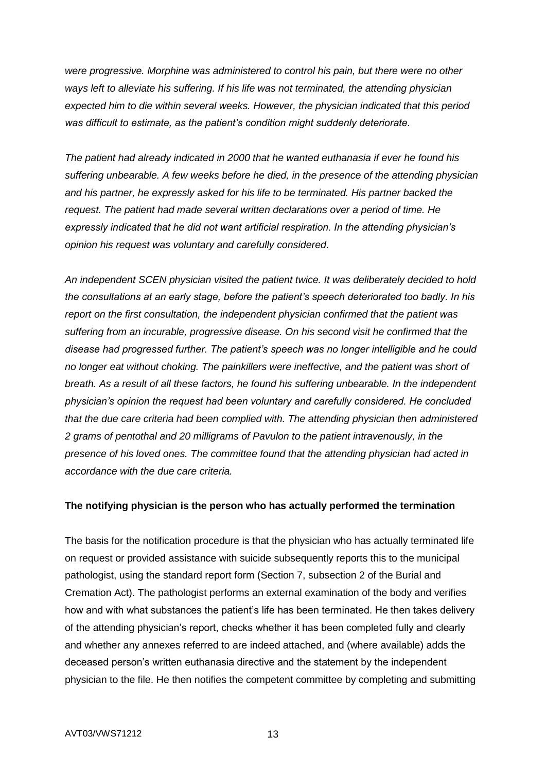*were progressive. Morphine was administered to control his pain, but there were no other ways left to alleviate his suffering. If his life was not terminated, the attending physician expected him to die within several weeks. However, the physician indicated that this period was difficult to estimate, as the patient's condition might suddenly deteriorate.*

*The patient had already indicated in 2000 that he wanted euthanasia if ever he found his suffering unbearable. A few weeks before he died, in the presence of the attending physician and his partner, he expressly asked for his life to be terminated. His partner backed the request. The patient had made several written declarations over a period of time. He expressly indicated that he did not want artificial respiration. In the attending physician's opinion his request was voluntary and carefully considered.*

*An independent SCEN physician visited the patient twice. It was deliberately decided to hold the consultations at an early stage, before the patient's speech deteriorated too badly. In his report on the first consultation, the independent physician confirmed that the patient was suffering from an incurable, progressive disease. On his second visit he confirmed that the disease had progressed further. The patient's speech was no longer intelligible and he could no longer eat without choking. The painkillers were ineffective, and the patient was short of breath. As a result of all these factors, he found his suffering unbearable. In the independent physician's opinion the request had been voluntary and carefully considered. He concluded that the due care criteria had been complied with. The attending physician then administered 2 grams of pentothal and 20 milligrams of Pavulon to the patient intravenously, in the presence of his loved ones. The committee found that the attending physician had acted in accordance with the due care criteria.*

### **The notifying physician is the person who has actually performed the termination**

The basis for the notification procedure is that the physician who has actually terminated life on request or provided assistance with suicide subsequently reports this to the municipal pathologist, using the standard report form (Section 7, subsection 2 of the Burial and Cremation Act). The pathologist performs an external examination of the body and verifies how and with what substances the patient's life has been terminated. He then takes delivery of the attending physician's report, checks whether it has been completed fully and clearly and whether any annexes referred to are indeed attached, and (where available) adds the deceased person's written euthanasia directive and the statement by the independent physician to the file. He then notifies the competent committee by completing and submitting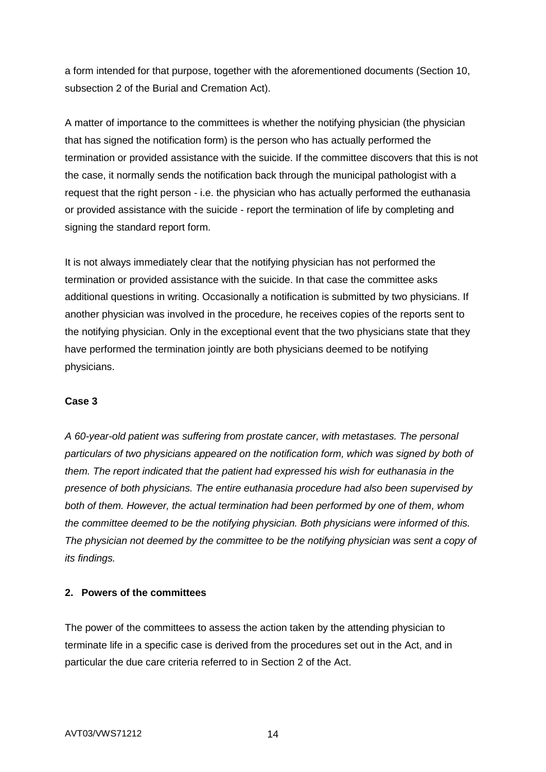a form intended for that purpose, together with the aforementioned documents (Section 10, subsection 2 of the Burial and Cremation Act).

A matter of importance to the committees is whether the notifying physician (the physician that has signed the notification form) is the person who has actually performed the termination or provided assistance with the suicide. If the committee discovers that this is not the case, it normally sends the notification back through the municipal pathologist with a request that the right person - i.e. the physician who has actually performed the euthanasia or provided assistance with the suicide - report the termination of life by completing and signing the standard report form.

It is not always immediately clear that the notifying physician has not performed the termination or provided assistance with the suicide. In that case the committee asks additional questions in writing. Occasionally a notification is submitted by two physicians. If another physician was involved in the procedure, he receives copies of the reports sent to the notifying physician. Only in the exceptional event that the two physicians state that they have performed the termination jointly are both physicians deemed to be notifying physicians.

### **Case 3**

*A 60-year-old patient was suffering from prostate cancer, with metastases. The personal particulars of two physicians appeared on the notification form, which was signed by both of them. The report indicated that the patient had expressed his wish for euthanasia in the presence of both physicians. The entire euthanasia procedure had also been supervised by both of them. However, the actual termination had been performed by one of them, whom the committee deemed to be the notifying physician. Both physicians were informed of this. The physician not deemed by the committee to be the notifying physician was sent a copy of its findings.*

## **2. Powers of the committees**

The power of the committees to assess the action taken by the attending physician to terminate life in a specific case is derived from the procedures set out in the Act, and in particular the due care criteria referred to in Section 2 of the Act.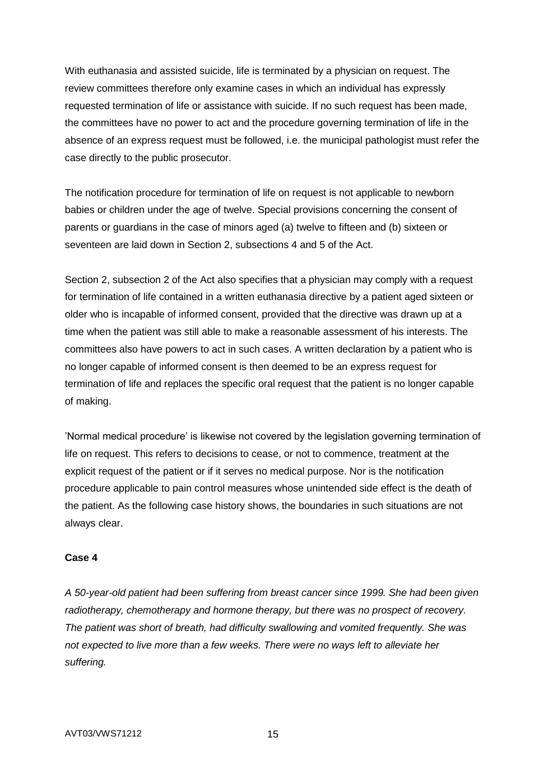With euthanasia and assisted suicide, life is terminated by a physician on request. The review committees therefore only examine cases in which an individual has expressly requested termination of life or assistance with suicide. If no such request has been made, the committees have no power to act and the procedure governing termination of life in the absence of an express request must be followed, i.e. the municipal pathologist must refer the case directly to the public prosecutor.

The notification procedure for termination of life on request is not applicable to newborn babies or children under the age of twelve. Special provisions concerning the consent of parents or guardians in the case of minors aged (a) twelve to fifteen and (b) sixteen or seventeen are laid down in Section 2, subsections 4 and 5 of the Act.

Section 2, subsection 2 of the Act also specifies that a physician may comply with a request for termination of life contained in a written euthanasia directive by a patient aged sixteen or older who is incapable of informed consent, provided that the directive was drawn up at a time when the patient was still able to make a reasonable assessment of his interests. The committees also have powers to act in such cases. A written declaration by a patient who is no longer capable of informed consent is then deemed to be an express request for termination of life and replaces the specific oral request that the patient is no longer capable of making.

'Normal medical procedure' is likewise not covered by the legislation governing termination of life on request. This refers to decisions to cease, or not to commence, treatment at the explicit request of the patient or if it serves no medical purpose. Nor is the notification procedure applicable to pain control measures whose unintended side effect is the death of the patient. As the following case history shows, the boundaries in such situations are not always clear.

### **Case 4**

*A 50-year-old patient had been suffering from breast cancer since 1999. She had been given radiotherapy, chemotherapy and hormone therapy, but there was no prospect of recovery. The patient was short of breath, had difficulty swallowing and vomited frequently. She was not expected to live more than a few weeks. There were no ways left to alleviate her suffering.*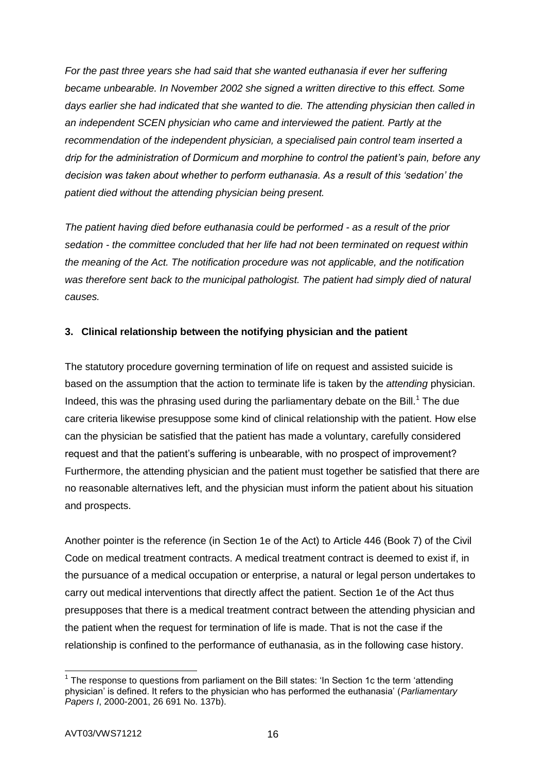*For the past three years she had said that she wanted euthanasia if ever her suffering became unbearable. In November 2002 she signed a written directive to this effect. Some days earlier she had indicated that she wanted to die. The attending physician then called in an independent SCEN physician who came and interviewed the patient. Partly at the recommendation of the independent physician, a specialised pain control team inserted a drip for the administration of Dormicum and morphine to control the patient's pain, before any decision was taken about whether to perform euthanasia. As a result of this 'sedation' the patient died without the attending physician being present.*

*The patient having died before euthanasia could be performed - as a result of the prior sedation - the committee concluded that her life had not been terminated on request within the meaning of the Act. The notification procedure was not applicable, and the notification*  was therefore sent back to the municipal pathologist. The patient had simply died of natural *causes.*

## **3. Clinical relationship between the notifying physician and the patient**

The statutory procedure governing termination of life on request and assisted suicide is based on the assumption that the action to terminate life is taken by the *attending* physician. Indeed, this was the phrasing used during the parliamentary debate on the Bill.<sup>1</sup> The due care criteria likewise presuppose some kind of clinical relationship with the patient. How else can the physician be satisfied that the patient has made a voluntary, carefully considered request and that the patient's suffering is unbearable, with no prospect of improvement? Furthermore, the attending physician and the patient must together be satisfied that there are no reasonable alternatives left, and the physician must inform the patient about his situation and prospects.

Another pointer is the reference (in Section 1e of the Act) to Article 446 (Book 7) of the Civil Code on medical treatment contracts. A medical treatment contract is deemed to exist if, in the pursuance of a medical occupation or enterprise, a natural or legal person undertakes to carry out medical interventions that directly affect the patient. Section 1e of the Act thus presupposes that there is a medical treatment contract between the attending physician and the patient when the request for termination of life is made. That is not the case if the relationship is confined to the performance of euthanasia, as in the following case history.

 $\overline{a}$  $1$  The response to questions from parliament on the Bill states: 'In Section 1c the term 'attending physician' is defined. It refers to the physician who has performed the euthanasia' (*Parliamentary Papers I*, 2000-2001, 26 691 No. 137b).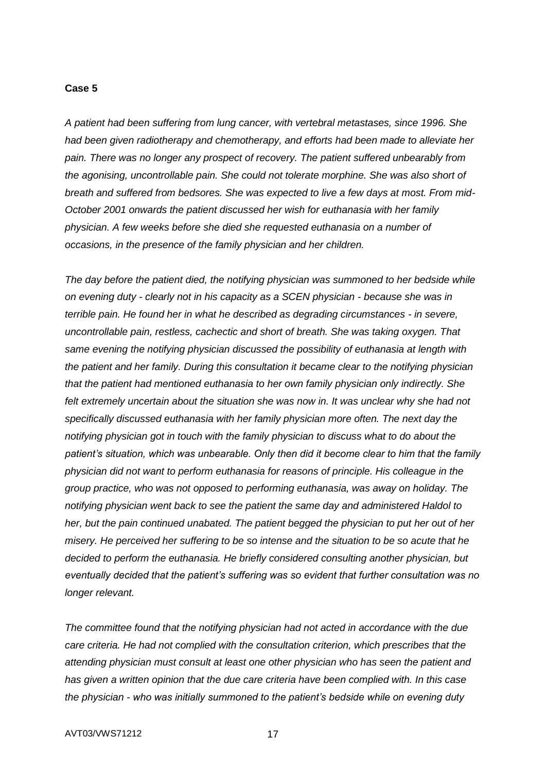#### **Case 5**

*A patient had been suffering from lung cancer, with vertebral metastases, since 1996. She had been given radiotherapy and chemotherapy, and efforts had been made to alleviate her pain. There was no longer any prospect of recovery. The patient suffered unbearably from the agonising, uncontrollable pain. She could not tolerate morphine. She was also short of breath and suffered from bedsores. She was expected to live a few days at most. From mid-October 2001 onwards the patient discussed her wish for euthanasia with her family physician. A few weeks before she died she requested euthanasia on a number of occasions, in the presence of the family physician and her children.*

*The day before the patient died, the notifying physician was summoned to her bedside while on evening duty - clearly not in his capacity as a SCEN physician - because she was in terrible pain. He found her in what he described as degrading circumstances - in severe, uncontrollable pain, restless, cachectic and short of breath. She was taking oxygen. That same evening the notifying physician discussed the possibility of euthanasia at length with the patient and her family. During this consultation it became clear to the notifying physician that the patient had mentioned euthanasia to her own family physician only indirectly. She*  felt extremely uncertain about the situation she was now in. It was unclear why she had not *specifically discussed euthanasia with her family physician more often. The next day the notifying physician got in touch with the family physician to discuss what to do about the patient's situation, which was unbearable. Only then did it become clear to him that the family physician did not want to perform euthanasia for reasons of principle. His colleague in the group practice, who was not opposed to performing euthanasia, was away on holiday. The notifying physician went back to see the patient the same day and administered Haldol to her, but the pain continued unabated. The patient begged the physician to put her out of her misery. He perceived her suffering to be so intense and the situation to be so acute that he decided to perform the euthanasia. He briefly considered consulting another physician, but eventually decided that the patient's suffering was so evident that further consultation was no longer relevant.*

*The committee found that the notifying physician had not acted in accordance with the due care criteria. He had not complied with the consultation criterion, which prescribes that the attending physician must consult at least one other physician who has seen the patient and has given a written opinion that the due care criteria have been complied with. In this case the physician - who was initially summoned to the patient's bedside while on evening duty*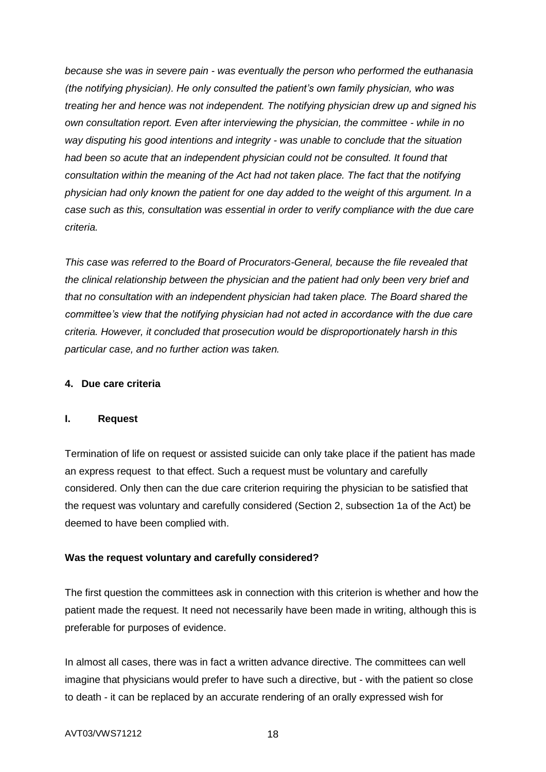*because she was in severe pain - was eventually the person who performed the euthanasia (the notifying physician). He only consulted the patient's own family physician, who was treating her and hence was not independent. The notifying physician drew up and signed his own consultation report. Even after interviewing the physician, the committee - while in no way disputing his good intentions and integrity - was unable to conclude that the situation had been so acute that an independent physician could not be consulted. It found that consultation within the meaning of the Act had not taken place. The fact that the notifying physician had only known the patient for one day added to the weight of this argument. In a case such as this, consultation was essential in order to verify compliance with the due care criteria.*

*This case was referred to the Board of Procurators-General, because the file revealed that the clinical relationship between the physician and the patient had only been very brief and that no consultation with an independent physician had taken place. The Board shared the committee's view that the notifying physician had not acted in accordance with the due care criteria. However, it concluded that prosecution would be disproportionately harsh in this particular case, and no further action was taken.*

### **4. Due care criteria**

### **I. Request**

Termination of life on request or assisted suicide can only take place if the patient has made an express request to that effect. Such a request must be voluntary and carefully considered. Only then can the due care criterion requiring the physician to be satisfied that the request was voluntary and carefully considered (Section 2, subsection 1a of the Act) be deemed to have been complied with.

## **Was the request voluntary and carefully considered?**

The first question the committees ask in connection with this criterion is whether and how the patient made the request. It need not necessarily have been made in writing, although this is preferable for purposes of evidence.

In almost all cases, there was in fact a written advance directive. The committees can well imagine that physicians would prefer to have such a directive, but - with the patient so close to death - it can be replaced by an accurate rendering of an orally expressed wish for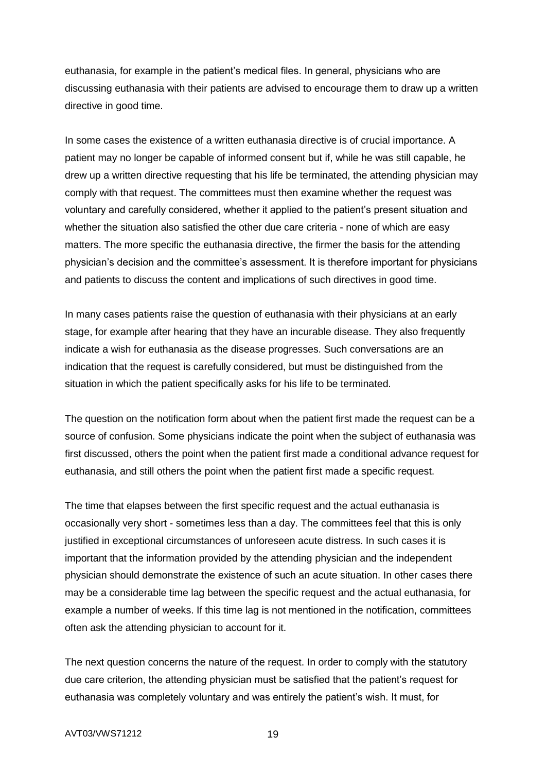euthanasia, for example in the patient's medical files. In general, physicians who are discussing euthanasia with their patients are advised to encourage them to draw up a written directive in good time.

In some cases the existence of a written euthanasia directive is of crucial importance. A patient may no longer be capable of informed consent but if, while he was still capable, he drew up a written directive requesting that his life be terminated, the attending physician may comply with that request. The committees must then examine whether the request was voluntary and carefully considered, whether it applied to the patient's present situation and whether the situation also satisfied the other due care criteria - none of which are easy matters. The more specific the euthanasia directive, the firmer the basis for the attending physician's decision and the committee's assessment. It is therefore important for physicians and patients to discuss the content and implications of such directives in good time.

In many cases patients raise the question of euthanasia with their physicians at an early stage, for example after hearing that they have an incurable disease. They also frequently indicate a wish for euthanasia as the disease progresses. Such conversations are an indication that the request is carefully considered, but must be distinguished from the situation in which the patient specifically asks for his life to be terminated.

The question on the notification form about when the patient first made the request can be a source of confusion. Some physicians indicate the point when the subject of euthanasia was first discussed, others the point when the patient first made a conditional advance request for euthanasia, and still others the point when the patient first made a specific request.

The time that elapses between the first specific request and the actual euthanasia is occasionally very short - sometimes less than a day. The committees feel that this is only justified in exceptional circumstances of unforeseen acute distress. In such cases it is important that the information provided by the attending physician and the independent physician should demonstrate the existence of such an acute situation. In other cases there may be a considerable time lag between the specific request and the actual euthanasia, for example a number of weeks. If this time lag is not mentioned in the notification, committees often ask the attending physician to account for it.

The next question concerns the nature of the request. In order to comply with the statutory due care criterion, the attending physician must be satisfied that the patient's request for euthanasia was completely voluntary and was entirely the patient's wish. It must, for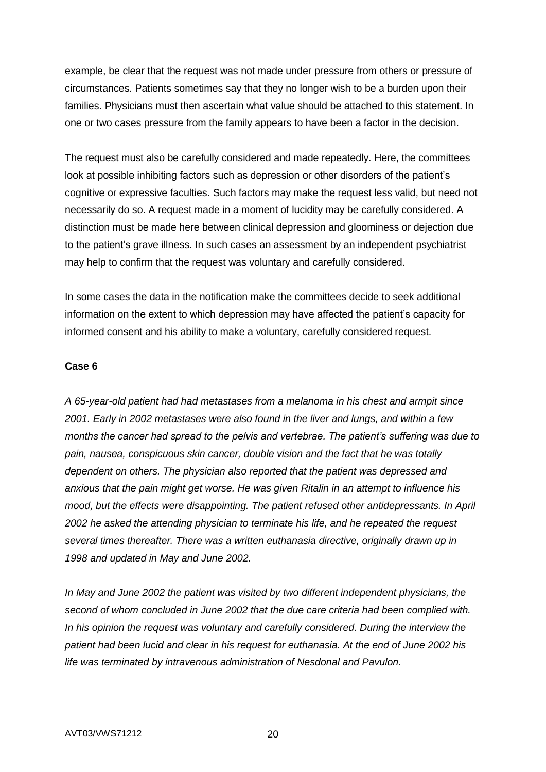example, be clear that the request was not made under pressure from others or pressure of circumstances. Patients sometimes say that they no longer wish to be a burden upon their families. Physicians must then ascertain what value should be attached to this statement. In one or two cases pressure from the family appears to have been a factor in the decision.

The request must also be carefully considered and made repeatedly. Here, the committees look at possible inhibiting factors such as depression or other disorders of the patient's cognitive or expressive faculties. Such factors may make the request less valid, but need not necessarily do so. A request made in a moment of lucidity may be carefully considered. A distinction must be made here between clinical depression and gloominess or dejection due to the patient's grave illness. In such cases an assessment by an independent psychiatrist may help to confirm that the request was voluntary and carefully considered.

In some cases the data in the notification make the committees decide to seek additional information on the extent to which depression may have affected the patient's capacity for informed consent and his ability to make a voluntary, carefully considered request.

#### **Case 6**

*A 65-year-old patient had had metastases from a melanoma in his chest and armpit since 2001. Early in 2002 metastases were also found in the liver and lungs, and within a few months the cancer had spread to the pelvis and vertebrae. The patient's suffering was due to pain, nausea, conspicuous skin cancer, double vision and the fact that he was totally dependent on others. The physician also reported that the patient was depressed and anxious that the pain might get worse. He was given Ritalin in an attempt to influence his mood, but the effects were disappointing. The patient refused other antidepressants. In April 2002 he asked the attending physician to terminate his life, and he repeated the request several times thereafter. There was a written euthanasia directive, originally drawn up in 1998 and updated in May and June 2002.*

*In May and June 2002 the patient was visited by two different independent physicians, the second of whom concluded in June 2002 that the due care criteria had been complied with.*  In his opinion the request was voluntary and carefully considered. During the interview the *patient had been lucid and clear in his request for euthanasia. At the end of June 2002 his life was terminated by intravenous administration of Nesdonal and Pavulon.*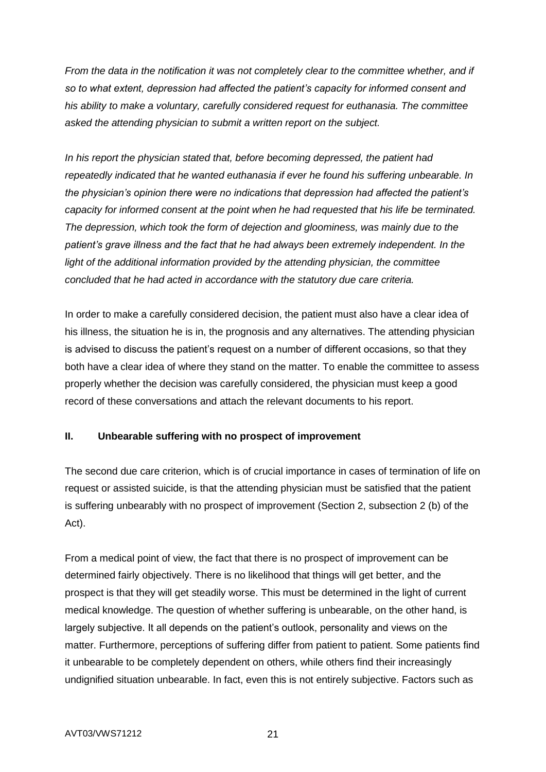*From the data in the notification it was not completely clear to the committee whether, and if so to what extent, depression had affected the patient's capacity for informed consent and his ability to make a voluntary, carefully considered request for euthanasia. The committee asked the attending physician to submit a written report on the subject.*

*In his report the physician stated that, before becoming depressed, the patient had repeatedly indicated that he wanted euthanasia if ever he found his suffering unbearable. In the physician's opinion there were no indications that depression had affected the patient's capacity for informed consent at the point when he had requested that his life be terminated. The depression, which took the form of dejection and gloominess, was mainly due to the patient's grave illness and the fact that he had always been extremely independent. In the*  light of the additional information provided by the attending physician, the committee *concluded that he had acted in accordance with the statutory due care criteria.*

In order to make a carefully considered decision, the patient must also have a clear idea of his illness, the situation he is in, the prognosis and any alternatives. The attending physician is advised to discuss the patient's request on a number of different occasions, so that they both have a clear idea of where they stand on the matter. To enable the committee to assess properly whether the decision was carefully considered, the physician must keep a good record of these conversations and attach the relevant documents to his report.

## **II. Unbearable suffering with no prospect of improvement**

The second due care criterion, which is of crucial importance in cases of termination of life on request or assisted suicide, is that the attending physician must be satisfied that the patient is suffering unbearably with no prospect of improvement (Section 2, subsection 2 (b) of the Act).

From a medical point of view, the fact that there is no prospect of improvement can be determined fairly objectively. There is no likelihood that things will get better, and the prospect is that they will get steadily worse. This must be determined in the light of current medical knowledge. The question of whether suffering is unbearable, on the other hand, is largely subjective. It all depends on the patient's outlook, personality and views on the matter. Furthermore, perceptions of suffering differ from patient to patient. Some patients find it unbearable to be completely dependent on others, while others find their increasingly undignified situation unbearable. In fact, even this is not entirely subjective. Factors such as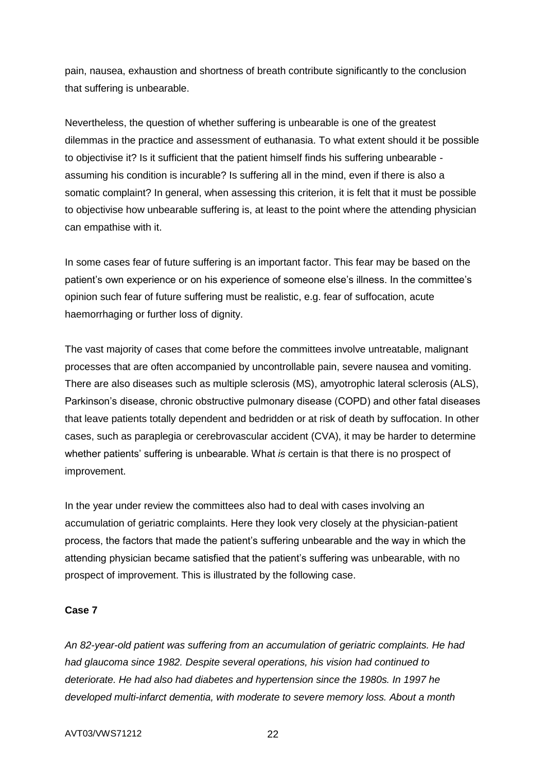pain, nausea, exhaustion and shortness of breath contribute significantly to the conclusion that suffering is unbearable.

Nevertheless, the question of whether suffering is unbearable is one of the greatest dilemmas in the practice and assessment of euthanasia. To what extent should it be possible to objectivise it? Is it sufficient that the patient himself finds his suffering unbearable assuming his condition is incurable? Is suffering all in the mind, even if there is also a somatic complaint? In general, when assessing this criterion, it is felt that it must be possible to objectivise how unbearable suffering is, at least to the point where the attending physician can empathise with it.

In some cases fear of future suffering is an important factor. This fear may be based on the patient's own experience or on his experience of someone else's illness. In the committee's opinion such fear of future suffering must be realistic, e.g. fear of suffocation, acute haemorrhaging or further loss of dignity.

The vast majority of cases that come before the committees involve untreatable, malignant processes that are often accompanied by uncontrollable pain, severe nausea and vomiting. There are also diseases such as multiple sclerosis (MS), amyotrophic lateral sclerosis (ALS), Parkinson's disease, chronic obstructive pulmonary disease (COPD) and other fatal diseases that leave patients totally dependent and bedridden or at risk of death by suffocation. In other cases, such as paraplegia or cerebrovascular accident (CVA), it may be harder to determine whether patients' suffering is unbearable. What *is* certain is that there is no prospect of improvement.

In the year under review the committees also had to deal with cases involving an accumulation of geriatric complaints. Here they look very closely at the physician-patient process, the factors that made the patient's suffering unbearable and the way in which the attending physician became satisfied that the patient's suffering was unbearable, with no prospect of improvement. This is illustrated by the following case.

### **Case 7**

*An 82-year-old patient was suffering from an accumulation of geriatric complaints. He had had glaucoma since 1982. Despite several operations, his vision had continued to deteriorate. He had also had diabetes and hypertension since the 1980s. In 1997 he developed multi-infarct dementia, with moderate to severe memory loss. About a month*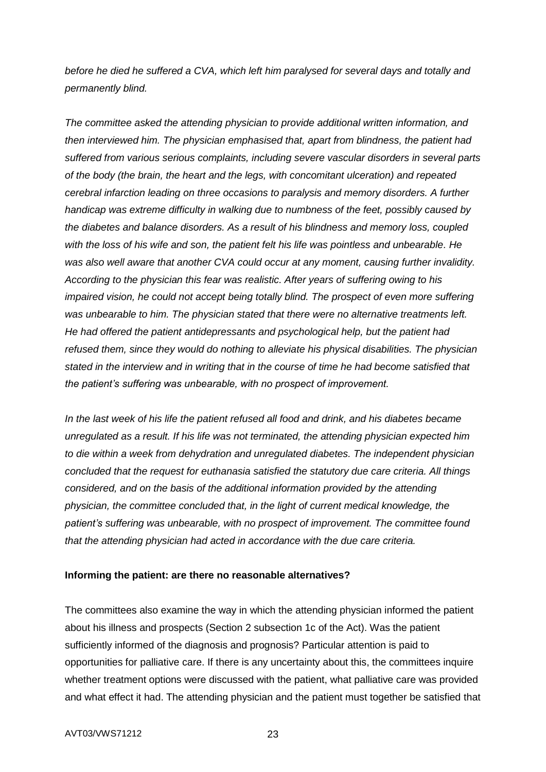*before he died he suffered a CVA, which left him paralysed for several days and totally and permanently blind.*

*The committee asked the attending physician to provide additional written information, and then interviewed him. The physician emphasised that, apart from blindness, the patient had suffered from various serious complaints, including severe vascular disorders in several parts of the body (the brain, the heart and the legs, with concomitant ulceration) and repeated cerebral infarction leading on three occasions to paralysis and memory disorders. A further handicap was extreme difficulty in walking due to numbness of the feet, possibly caused by the diabetes and balance disorders. As a result of his blindness and memory loss, coupled with the loss of his wife and son, the patient felt his life was pointless and unbearable. He was also well aware that another CVA could occur at any moment, causing further invalidity. According to the physician this fear was realistic. After years of suffering owing to his impaired vision, he could not accept being totally blind. The prospect of even more suffering was unbearable to him. The physician stated that there were no alternative treatments left. He had offered the patient antidepressants and psychological help, but the patient had refused them, since they would do nothing to alleviate his physical disabilities. The physician stated in the interview and in writing that in the course of time he had become satisfied that the patient's suffering was unbearable, with no prospect of improvement.*

*In the last week of his life the patient refused all food and drink, and his diabetes became unregulated as a result. If his life was not terminated, the attending physician expected him to die within a week from dehydration and unregulated diabetes. The independent physician concluded that the request for euthanasia satisfied the statutory due care criteria. All things considered, and on the basis of the additional information provided by the attending physician, the committee concluded that, in the light of current medical knowledge, the patient's suffering was unbearable, with no prospect of improvement. The committee found that the attending physician had acted in accordance with the due care criteria.*

### **Informing the patient: are there no reasonable alternatives?**

The committees also examine the way in which the attending physician informed the patient about his illness and prospects (Section 2 subsection 1c of the Act). Was the patient sufficiently informed of the diagnosis and prognosis? Particular attention is paid to opportunities for palliative care. If there is any uncertainty about this, the committees inquire whether treatment options were discussed with the patient, what palliative care was provided and what effect it had. The attending physician and the patient must together be satisfied that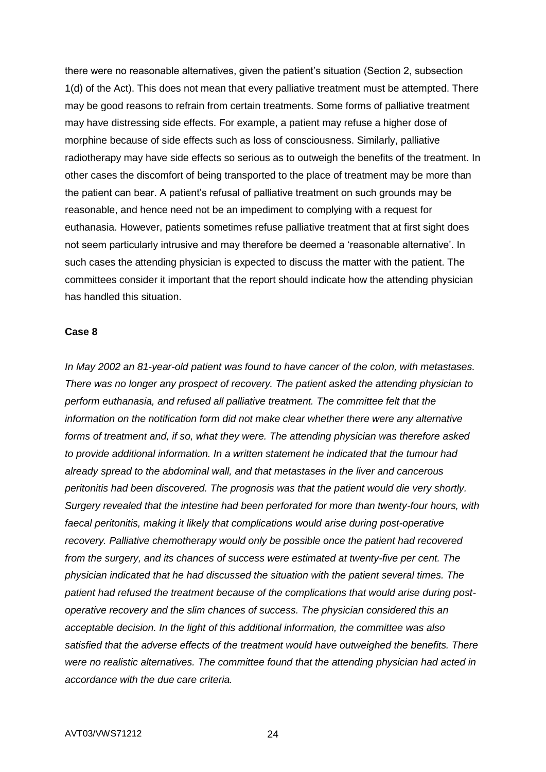there were no reasonable alternatives, given the patient's situation (Section 2, subsection 1(d) of the Act). This does not mean that every palliative treatment must be attempted. There may be good reasons to refrain from certain treatments. Some forms of palliative treatment may have distressing side effects. For example, a patient may refuse a higher dose of morphine because of side effects such as loss of consciousness. Similarly, palliative radiotherapy may have side effects so serious as to outweigh the benefits of the treatment. In other cases the discomfort of being transported to the place of treatment may be more than the patient can bear. A patient's refusal of palliative treatment on such grounds may be reasonable, and hence need not be an impediment to complying with a request for euthanasia. However, patients sometimes refuse palliative treatment that at first sight does not seem particularly intrusive and may therefore be deemed a 'reasonable alternative'. In such cases the attending physician is expected to discuss the matter with the patient. The committees consider it important that the report should indicate how the attending physician has handled this situation.

#### **Case 8**

*In May 2002 an 81-year-old patient was found to have cancer of the colon, with metastases. There was no longer any prospect of recovery. The patient asked the attending physician to perform euthanasia, and refused all palliative treatment. The committee felt that the information on the notification form did not make clear whether there were any alternative forms of treatment and, if so, what they were. The attending physician was therefore asked to provide additional information. In a written statement he indicated that the tumour had already spread to the abdominal wall, and that metastases in the liver and cancerous peritonitis had been discovered. The prognosis was that the patient would die very shortly. Surgery revealed that the intestine had been perforated for more than twenty-four hours, with*  faecal peritonitis, making it likely that complications would arise during post-operative *recovery. Palliative chemotherapy would only be possible once the patient had recovered from the surgery, and its chances of success were estimated at twenty-five per cent. The physician indicated that he had discussed the situation with the patient several times. The patient had refused the treatment because of the complications that would arise during postoperative recovery and the slim chances of success. The physician considered this an acceptable decision. In the light of this additional information, the committee was also satisfied that the adverse effects of the treatment would have outweighed the benefits. There were no realistic alternatives. The committee found that the attending physician had acted in accordance with the due care criteria.*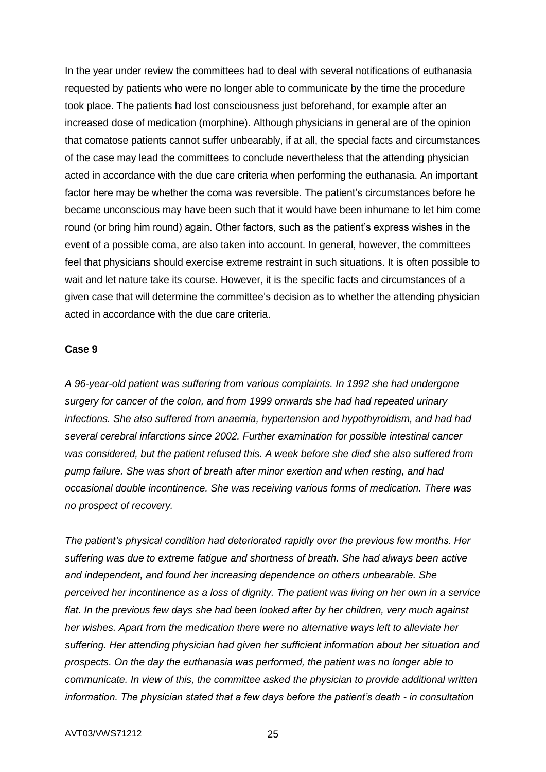In the year under review the committees had to deal with several notifications of euthanasia requested by patients who were no longer able to communicate by the time the procedure took place. The patients had lost consciousness just beforehand, for example after an increased dose of medication (morphine). Although physicians in general are of the opinion that comatose patients cannot suffer unbearably, if at all, the special facts and circumstances of the case may lead the committees to conclude nevertheless that the attending physician acted in accordance with the due care criteria when performing the euthanasia. An important factor here may be whether the coma was reversible. The patient's circumstances before he became unconscious may have been such that it would have been inhumane to let him come round (or bring him round) again. Other factors, such as the patient's express wishes in the event of a possible coma, are also taken into account. In general, however, the committees feel that physicians should exercise extreme restraint in such situations. It is often possible to wait and let nature take its course. However, it is the specific facts and circumstances of a given case that will determine the committee's decision as to whether the attending physician acted in accordance with the due care criteria.

#### **Case 9**

*A 96-year-old patient was suffering from various complaints. In 1992 she had undergone surgery for cancer of the colon, and from 1999 onwards she had had repeated urinary infections. She also suffered from anaemia, hypertension and hypothyroidism, and had had several cerebral infarctions since 2002. Further examination for possible intestinal cancer was considered, but the patient refused this. A week before she died she also suffered from pump failure. She was short of breath after minor exertion and when resting, and had occasional double incontinence. She was receiving various forms of medication. There was no prospect of recovery.*

*The patient's physical condition had deteriorated rapidly over the previous few months. Her suffering was due to extreme fatigue and shortness of breath. She had always been active and independent, and found her increasing dependence on others unbearable. She perceived her incontinence as a loss of dignity. The patient was living on her own in a service*  flat. In the previous few days she had been looked after by her children, very much against *her wishes. Apart from the medication there were no alternative ways left to alleviate her suffering. Her attending physician had given her sufficient information about her situation and prospects. On the day the euthanasia was performed, the patient was no longer able to communicate. In view of this, the committee asked the physician to provide additional written information. The physician stated that a few days before the patient's death - in consultation*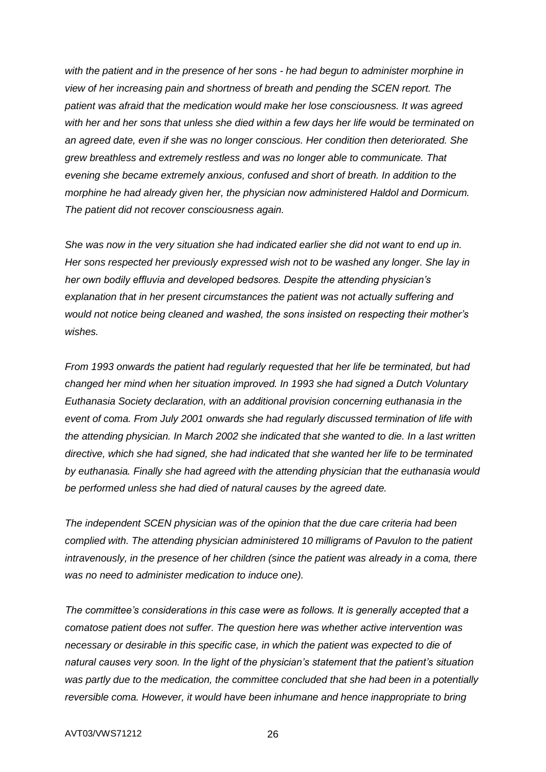*with the patient and in the presence of her sons - he had begun to administer morphine in view of her increasing pain and shortness of breath and pending the SCEN report. The patient was afraid that the medication would make her lose consciousness. It was agreed with her and her sons that unless she died within a few days her life would be terminated on an agreed date, even if she was no longer conscious. Her condition then deteriorated. She grew breathless and extremely restless and was no longer able to communicate. That evening she became extremely anxious, confused and short of breath. In addition to the morphine he had already given her, the physician now administered Haldol and Dormicum. The patient did not recover consciousness again.*

*She was now in the very situation she had indicated earlier she did not want to end up in. Her sons respected her previously expressed wish not to be washed any longer. She lay in her own bodily effluvia and developed bedsores. Despite the attending physician's explanation that in her present circumstances the patient was not actually suffering and would not notice being cleaned and washed, the sons insisted on respecting their mother's wishes.*

*From 1993 onwards the patient had regularly requested that her life be terminated, but had changed her mind when her situation improved. In 1993 she had signed a Dutch Voluntary Euthanasia Society declaration, with an additional provision concerning euthanasia in the event of coma. From July 2001 onwards she had regularly discussed termination of life with the attending physician. In March 2002 she indicated that she wanted to die. In a last written directive, which she had signed, she had indicated that she wanted her life to be terminated by euthanasia. Finally she had agreed with the attending physician that the euthanasia would be performed unless she had died of natural causes by the agreed date.*

*The independent SCEN physician was of the opinion that the due care criteria had been complied with. The attending physician administered 10 milligrams of Pavulon to the patient intravenously, in the presence of her children (since the patient was already in a coma, there was no need to administer medication to induce one).*

*The committee's considerations in this case were as follows. It is generally accepted that a comatose patient does not suffer. The question here was whether active intervention was necessary or desirable in this specific case, in which the patient was expected to die of natural causes very soon. In the light of the physician's statement that the patient's situation was partly due to the medication, the committee concluded that she had been in a potentially reversible coma. However, it would have been inhumane and hence inappropriate to bring*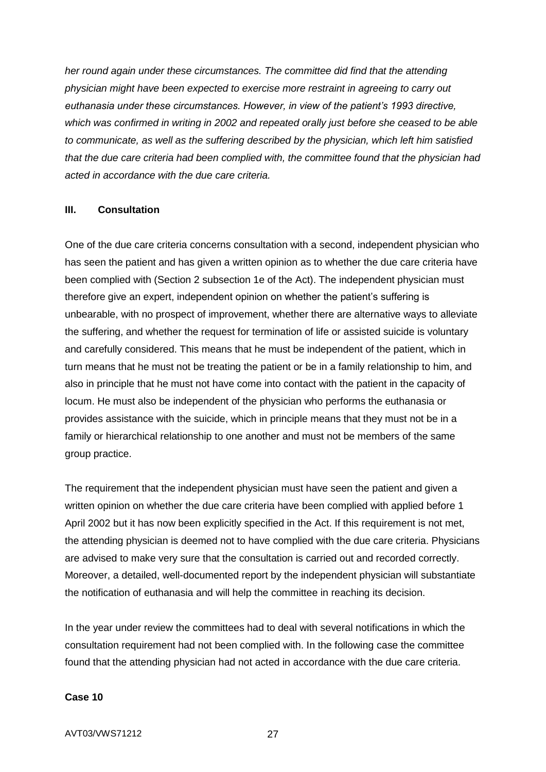*her round again under these circumstances. The committee did find that the attending physician might have been expected to exercise more restraint in agreeing to carry out euthanasia under these circumstances. However, in view of the patient's 1993 directive, which was confirmed in writing in 2002 and repeated orally just before she ceased to be able to communicate, as well as the suffering described by the physician, which left him satisfied that the due care criteria had been complied with, the committee found that the physician had acted in accordance with the due care criteria.*

### **III. Consultation**

One of the due care criteria concerns consultation with a second, independent physician who has seen the patient and has given a written opinion as to whether the due care criteria have been complied with (Section 2 subsection 1e of the Act). The independent physician must therefore give an expert, independent opinion on whether the patient's suffering is unbearable, with no prospect of improvement, whether there are alternative ways to alleviate the suffering, and whether the request for termination of life or assisted suicide is voluntary and carefully considered. This means that he must be independent of the patient, which in turn means that he must not be treating the patient or be in a family relationship to him, and also in principle that he must not have come into contact with the patient in the capacity of locum. He must also be independent of the physician who performs the euthanasia or provides assistance with the suicide, which in principle means that they must not be in a family or hierarchical relationship to one another and must not be members of the same group practice.

The requirement that the independent physician must have seen the patient and given a written opinion on whether the due care criteria have been complied with applied before 1 April 2002 but it has now been explicitly specified in the Act. If this requirement is not met, the attending physician is deemed not to have complied with the due care criteria. Physicians are advised to make very sure that the consultation is carried out and recorded correctly. Moreover, a detailed, well-documented report by the independent physician will substantiate the notification of euthanasia and will help the committee in reaching its decision.

In the year under review the committees had to deal with several notifications in which the consultation requirement had not been complied with. In the following case the committee found that the attending physician had not acted in accordance with the due care criteria.

#### **Case 10**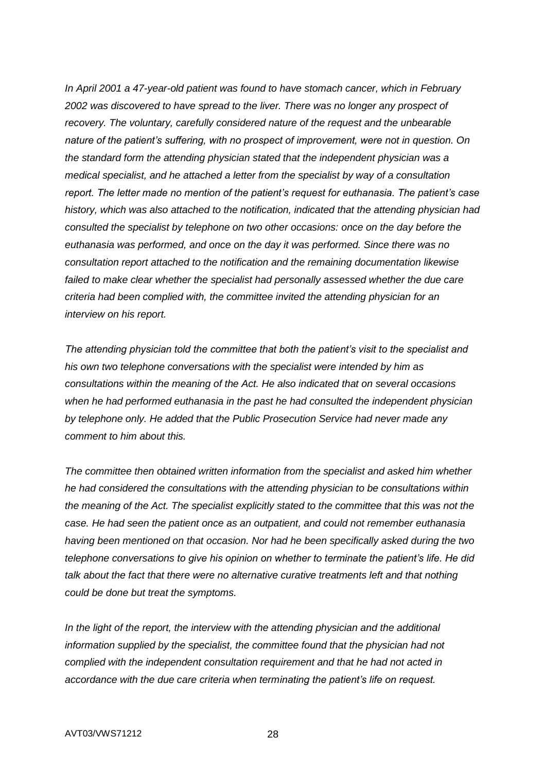*In April 2001 a 47-year-old patient was found to have stomach cancer, which in February 2002 was discovered to have spread to the liver. There was no longer any prospect of recovery. The voluntary, carefully considered nature of the request and the unbearable nature of the patient's suffering, with no prospect of improvement, were not in question. On the standard form the attending physician stated that the independent physician was a medical specialist, and he attached a letter from the specialist by way of a consultation report. The letter made no mention of the patient's request for euthanasia. The patient's case history, which was also attached to the notification, indicated that the attending physician had consulted the specialist by telephone on two other occasions: once on the day before the euthanasia was performed, and once on the day it was performed. Since there was no consultation report attached to the notification and the remaining documentation likewise*  failed to make clear whether the specialist had personally assessed whether the due care *criteria had been complied with, the committee invited the attending physician for an interview on his report.*

*The attending physician told the committee that both the patient's visit to the specialist and his own two telephone conversations with the specialist were intended by him as consultations within the meaning of the Act. He also indicated that on several occasions when he had performed euthanasia in the past he had consulted the independent physician by telephone only. He added that the Public Prosecution Service had never made any comment to him about this.*

*The committee then obtained written information from the specialist and asked him whether he had considered the consultations with the attending physician to be consultations within the meaning of the Act. The specialist explicitly stated to the committee that this was not the case. He had seen the patient once as an outpatient, and could not remember euthanasia having been mentioned on that occasion. Nor had he been specifically asked during the two telephone conversations to give his opinion on whether to terminate the patient's life. He did talk about the fact that there were no alternative curative treatments left and that nothing could be done but treat the symptoms.*

In the light of the report, the interview with the attending physician and the additional *information supplied by the specialist, the committee found that the physician had not complied with the independent consultation requirement and that he had not acted in accordance with the due care criteria when terminating the patient's life on request.*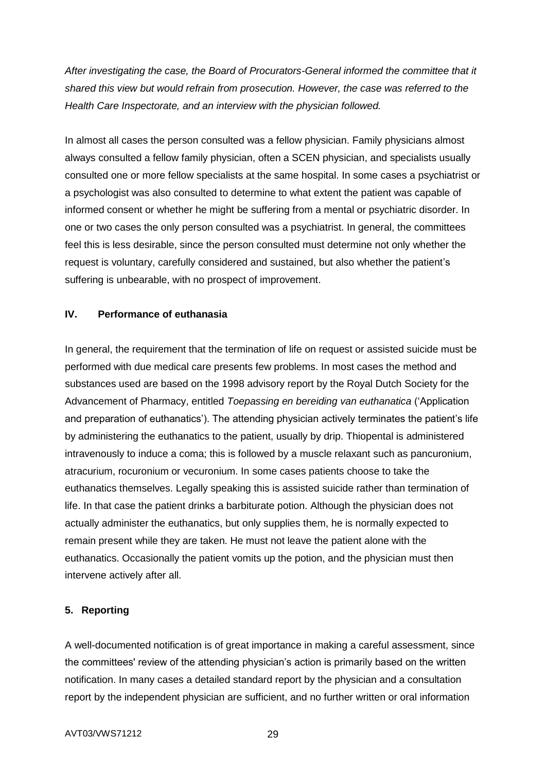*After investigating the case, the Board of Procurators-General informed the committee that it shared this view but would refrain from prosecution. However, the case was referred to the Health Care Inspectorate, and an interview with the physician followed.*

In almost all cases the person consulted was a fellow physician. Family physicians almost always consulted a fellow family physician, often a SCEN physician, and specialists usually consulted one or more fellow specialists at the same hospital. In some cases a psychiatrist or a psychologist was also consulted to determine to what extent the patient was capable of informed consent or whether he might be suffering from a mental or psychiatric disorder. In one or two cases the only person consulted was a psychiatrist. In general, the committees feel this is less desirable, since the person consulted must determine not only whether the request is voluntary, carefully considered and sustained, but also whether the patient's suffering is unbearable, with no prospect of improvement.

## **IV. Performance of euthanasia**

In general, the requirement that the termination of life on request or assisted suicide must be performed with due medical care presents few problems. In most cases the method and substances used are based on the 1998 advisory report by the Royal Dutch Society for the Advancement of Pharmacy, entitled *Toepassing en bereiding van euthanatica* ('Application and preparation of euthanatics'). The attending physician actively terminates the patient's life by administering the euthanatics to the patient, usually by drip. Thiopental is administered intravenously to induce a coma; this is followed by a muscle relaxant such as pancuronium, atracurium, rocuronium or vecuronium. In some cases patients choose to take the euthanatics themselves. Legally speaking this is assisted suicide rather than termination of life. In that case the patient drinks a barbiturate potion. Although the physician does not actually administer the euthanatics, but only supplies them, he is normally expected to remain present while they are taken. He must not leave the patient alone with the euthanatics. Occasionally the patient vomits up the potion, and the physician must then intervene actively after all.

## **5. Reporting**

A well-documented notification is of great importance in making a careful assessment, since the committees' review of the attending physician's action is primarily based on the written notification. In many cases a detailed standard report by the physician and a consultation report by the independent physician are sufficient, and no further written or oral information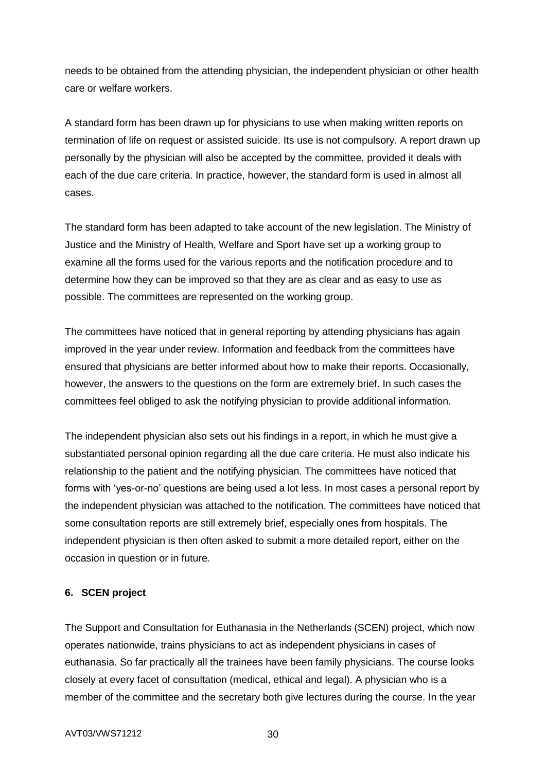needs to be obtained from the attending physician, the independent physician or other health care or welfare workers.

A standard form has been drawn up for physicians to use when making written reports on termination of life on request or assisted suicide. Its use is not compulsory. A report drawn up personally by the physician will also be accepted by the committee, provided it deals with each of the due care criteria. In practice, however, the standard form is used in almost all cases.

The standard form has been adapted to take account of the new legislation. The Ministry of Justice and the Ministry of Health, Welfare and Sport have set up a working group to examine all the forms used for the various reports and the notification procedure and to determine how they can be improved so that they are as clear and as easy to use as possible. The committees are represented on the working group.

The committees have noticed that in general reporting by attending physicians has again improved in the year under review. Information and feedback from the committees have ensured that physicians are better informed about how to make their reports. Occasionally, however, the answers to the questions on the form are extremely brief. In such cases the committees feel obliged to ask the notifying physician to provide additional information.

The independent physician also sets out his findings in a report, in which he must give a substantiated personal opinion regarding all the due care criteria. He must also indicate his relationship to the patient and the notifying physician. The committees have noticed that forms with 'yes-or-no' questions are being used a lot less. In most cases a personal report by the independent physician was attached to the notification. The committees have noticed that some consultation reports are still extremely brief, especially ones from hospitals. The independent physician is then often asked to submit a more detailed report, either on the occasion in question or in future.

### **6. SCEN project**

The Support and Consultation for Euthanasia in the Netherlands (SCEN) project, which now operates nationwide, trains physicians to act as independent physicians in cases of euthanasia. So far practically all the trainees have been family physicians. The course looks closely at every facet of consultation (medical, ethical and legal). A physician who is a member of the committee and the secretary both give lectures during the course. In the year